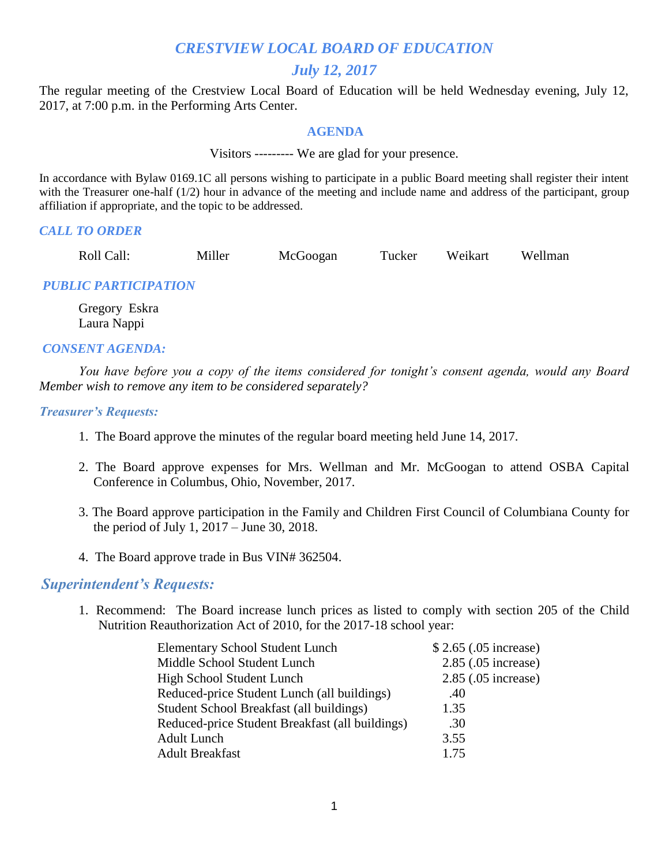# *CRESTVIEW LOCAL BOARD OF EDUCATION*

# *July 12, 2017*

The regular meeting of the Crestview Local Board of Education will be held Wednesday evening, July 12, 2017, at 7:00 p.m. in the Performing Arts Center.

#### **AGENDA**

Visitors --------- We are glad for your presence.

In accordance with Bylaw 0169.1C all persons wishing to participate in a public Board meeting shall register their intent with the Treasurer one-half (1/2) hour in advance of the meeting and include name and address of the participant, group affiliation if appropriate, and the topic to be addressed.

#### *CALL TO ORDER*

Roll Call: Miller McGoogan Tucker Weikart Wellman

### *PUBLIC PARTICIPATION*

Gregory Eskra Laura Nappi

#### *CONSENT AGENDA:*

 *You have before you a copy of the items considered for tonight's consent agenda, would any Board Member wish to remove any item to be considered separately?*

#### *Treasurer's Requests:*

- 1. The Board approve the minutes of the regular board meeting held June 14, 2017.
- 2. The Board approve expenses for Mrs. Wellman and Mr. McGoogan to attend OSBA Capital Conference in Columbus, Ohio, November, 2017.
- 3. The Board approve participation in the Family and Children First Council of Columbiana County for the period of July 1, 2017 – June 30, 2018.
- 4. The Board approve trade in Bus VIN# 362504.

### *Superintendent's Requests:*

1. Recommend: The Board increase lunch prices as listed to comply with section 205 of the Child Nutrition Reauthorization Act of 2010, for the 2017-18 school year:

| <b>Elementary School Student Lunch</b>          | \$2.65 (.05 increase) |
|-------------------------------------------------|-----------------------|
| Middle School Student Lunch                     | 2.85 (.05 increase)   |
| High School Student Lunch                       | 2.85 (.05 increase)   |
| Reduced-price Student Lunch (all buildings)     | .40                   |
| Student School Breakfast (all buildings)        | 1.35                  |
| Reduced-price Student Breakfast (all buildings) | .30                   |
| <b>Adult Lunch</b>                              | 3.55                  |
| <b>Adult Breakfast</b>                          | 1.75                  |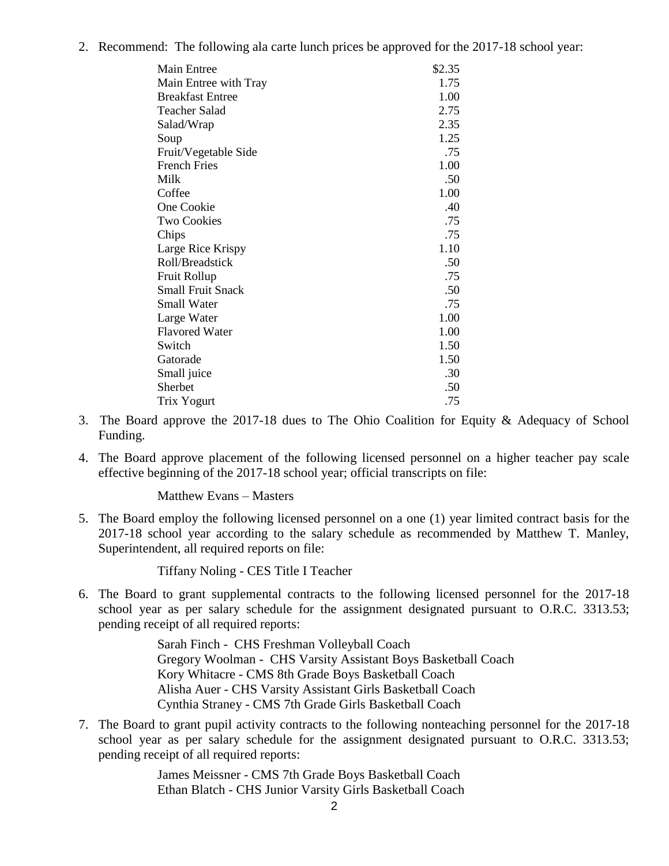2. Recommend: The following ala carte lunch prices be approved for the 2017-18 school year:

| <b>Main Entree</b>       | \$2.35 |
|--------------------------|--------|
| Main Entree with Tray    | 1.75   |
| <b>Breakfast Entree</b>  | 1.00   |
| <b>Teacher Salad</b>     | 2.75   |
| Salad/Wrap               | 2.35   |
| Soup                     | 1.25   |
| Fruit/Vegetable Side     | .75    |
| <b>French Fries</b>      | 1.00   |
| Milk                     | .50    |
| Coffee                   | 1.00   |
| One Cookie               | .40    |
| <b>Two Cookies</b>       | .75    |
| Chips                    | .75    |
| Large Rice Krispy        | 1.10   |
| Roll/Breadstick          | .50    |
| Fruit Rollup             | .75    |
| <b>Small Fruit Snack</b> | .50    |
| <b>Small Water</b>       | .75    |
| Large Water              | 1.00   |
| <b>Flavored Water</b>    | 1.00   |
| Switch                   | 1.50   |
| Gatorade                 | 1.50   |
| Small juice              | .30    |
| Sherbet                  | .50    |
| Trix Yogurt              | .75    |

- 3. The Board approve the 2017-18 dues to The Ohio Coalition for Equity & Adequacy of School Funding.
- 4. The Board approve placement of the following licensed personnel on a higher teacher pay scale effective beginning of the 2017-18 school year; official transcripts on file:

Matthew Evans – Masters

5. The Board employ the following licensed personnel on a one (1) year limited contract basis for the 2017-18 school year according to the salary schedule as recommended by Matthew T. Manley, Superintendent, all required reports on file:

Tiffany Noling - CES Title I Teacher

6. The Board to grant supplemental contracts to the following licensed personnel for the 2017-18 school year as per salary schedule for the assignment designated pursuant to O.R.C. 3313.53; pending receipt of all required reports:

> Sarah Finch - CHS Freshman Volleyball Coach Gregory Woolman - CHS Varsity Assistant Boys Basketball Coach Kory Whitacre - CMS 8th Grade Boys Basketball Coach Alisha Auer - CHS Varsity Assistant Girls Basketball Coach Cynthia Straney - CMS 7th Grade Girls Basketball Coach

7. The Board to grant pupil activity contracts to the following nonteaching personnel for the 2017-18 school year as per salary schedule for the assignment designated pursuant to O.R.C. 3313.53; pending receipt of all required reports:

> James Meissner - CMS 7th Grade Boys Basketball Coach Ethan Blatch - CHS Junior Varsity Girls Basketball Coach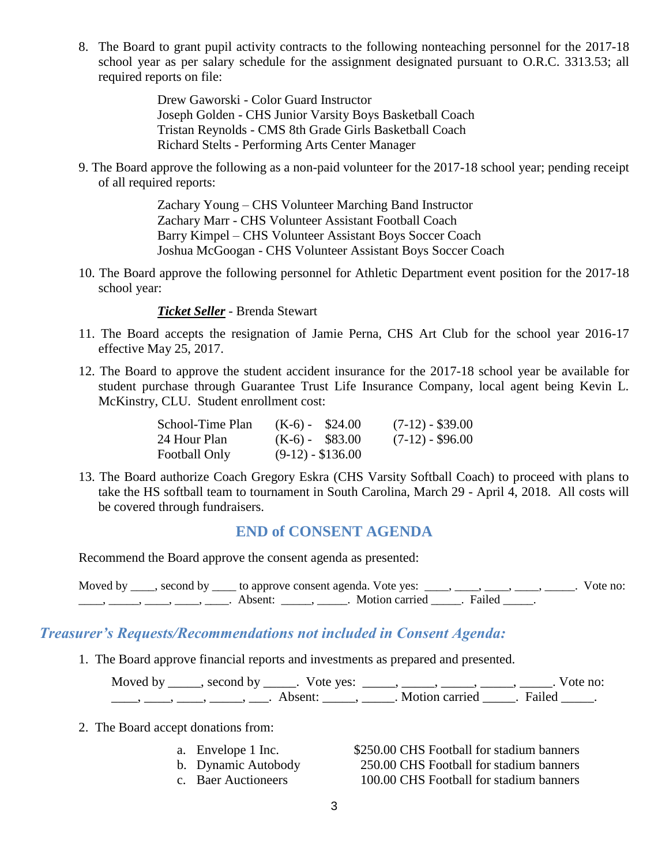8. The Board to grant pupil activity contracts to the following nonteaching personnel for the 2017-18 school year as per salary schedule for the assignment designated pursuant to O.R.C. 3313.53; all required reports on file:

> Drew Gaworski - Color Guard Instructor Joseph Golden - CHS Junior Varsity Boys Basketball Coach Tristan Reynolds - CMS 8th Grade Girls Basketball Coach Richard Stelts - Performing Arts Center Manager

9. The Board approve the following as a non-paid volunteer for the 2017-18 school year; pending receipt of all required reports:

> Zachary Young – CHS Volunteer Marching Band Instructor Zachary Marr - CHS Volunteer Assistant Football Coach Barry Kimpel – CHS Volunteer Assistant Boys Soccer Coach Joshua McGoogan - CHS Volunteer Assistant Boys Soccer Coach

10. The Board approve the following personnel for Athletic Department event position for the 2017-18 school year:

#### *Ticket Seller* - Brenda Stewart

- 11. The Board accepts the resignation of Jamie Perna, CHS Art Club for the school year 2016-17 effective May 25, 2017.
- 12. The Board to approve the student accident insurance for the 2017-18 school year be available for student purchase through Guarantee Trust Life Insurance Company, local agent being Kevin L. McKinstry, CLU. Student enrollment cost:

| School-Time Plan | $(K-6) - $24.00$   | $(7-12) - $39.00$  |
|------------------|--------------------|--------------------|
| 24 Hour Plan     | $(K-6) - $83.00$   | $(7-12)$ - \$96.00 |
| Football Only    | $(9-12) - $136.00$ |                    |

13. The Board authorize Coach Gregory Eskra (CHS Varsity Softball Coach) to proceed with plans to take the HS softball team to tournament in South Carolina, March 29 - April 4, 2018. All costs will be covered through fundraisers.

### **END of CONSENT AGENDA**

Recommend the Board approve the consent agenda as presented:

Moved by \_\_\_\_, second by \_\_\_\_ to approve consent agenda. Vote yes: \_\_\_\_, \_\_\_\_, \_\_\_\_, \_\_\_\_, \_\_\_\_\_. Vote no: \_\_\_\_\_, \_\_\_\_\_, \_\_\_\_, \_\_\_\_\_, Absent: \_\_\_\_\_, \_\_\_\_\_. Motion carried \_\_\_\_\_. Failed \_\_\_\_.

### *Treasurer's Requests/Recommendations not included in Consent Agenda:*

1. The Board approve financial reports and investments as prepared and presented.

Moved by \_\_\_\_\_, second by \_\_\_\_\_. Vote yes: \_\_\_\_\_, \_\_\_\_\_, \_\_\_\_\_, \_\_\_\_\_, \_\_\_\_\_. Vote no: \_\_\_\_\_, \_\_\_\_\_, \_\_\_\_, \_\_\_\_\_, Absent: \_\_\_\_\_, \_\_\_\_\_. Motion carried \_\_\_\_\_. Failed \_\_\_\_\_.

- 2. The Board accept donations from:
	-
	-
	-

a. Envelope 1 Inc. \$250.00 CHS Football for stadium banners b. Dynamic Autobody 250.00 CHS Football for stadium banners c. Baer Auctioneers 100.00 CHS Football for stadium banners